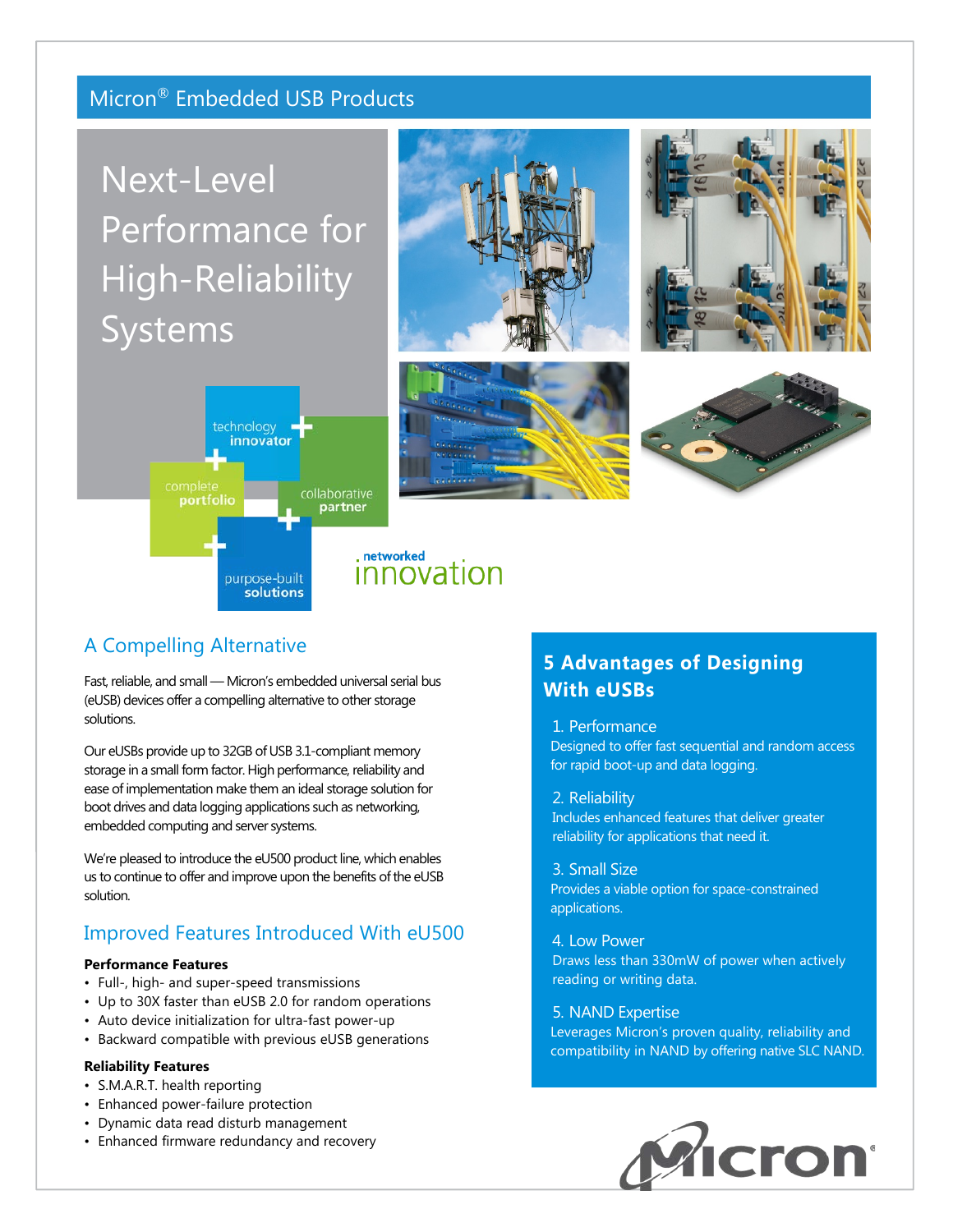# Micron® Embedded USB Products

# Next-Level Performance for High-Reliability Systems











## A Compelling Alternative

Fast, reliable, and small — Micron's embedded universal serial bus (eUSB) devices offer a compelling alternative to other storage solutions.

Our eUSBs provide up to 32GB of USB 3.1-compliant memory storage in a small form factor. High performance, reliability and ease of implementation make them an ideal storage solution for boot drives and data logging applications such as networking, embedded computing and server systems.

We're pleased to introduce the eU500 product line, which enables us to continue to offer and improve upon the benefits of the eUSB solution.

## Improved Features Introduced With eU500

#### **Performance Features**

- Full-, high- and super-speed transmissions
- Up to 30X faster than eUSB 2.0 for random operations
- Auto device initialization for ultra-fast power-up
- Backward compatible with previous eUSB generations

### **Reliability Features**

- S.M.A.R.T. health reporting
- Enhanced power-failure protection
- Dynamic data read disturb management
- Enhanced firmware redundancy and recovery

# **5 Advantages of Designing With eUSBs**

#### 1. Performance

Designed to offer fast sequential and random access for rapid boot-up and data logging.

2. Reliability Includes enhanced features that deliver greater reliability for applications that need it.

3. Small Size Provides a viable option for space-constrained applications.

4. Low Power

Draws less than 330mW of power when actively reading or writing data.

#### 5. NAND Expertise

Leverages Micron's proven quality, reliability and compatibility in NAND by offering native SLC NAND.